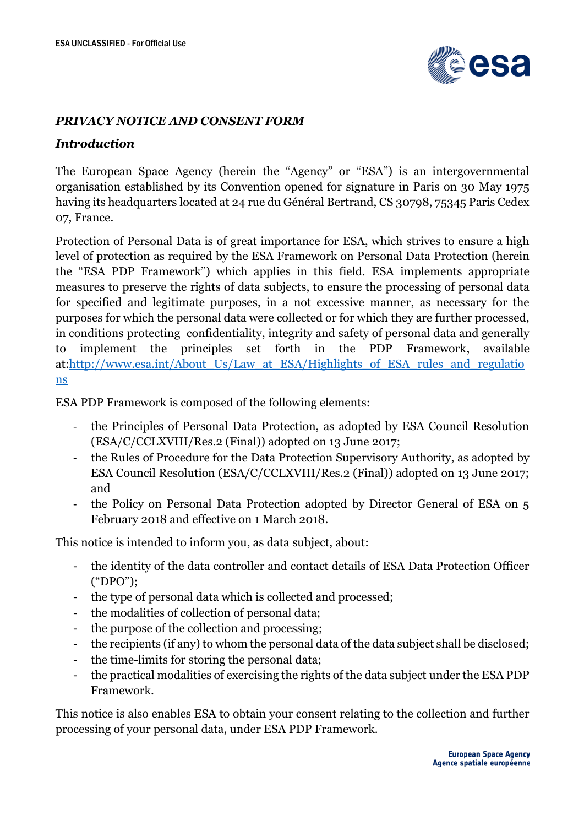

#### *PRIVACY NOTICE AND CONSENT FORM*

#### *Introduction*

The European Space Agency (herein the "Agency" or "ESA") is an intergovernmental organisation established by its Convention opened for signature in Paris on 30 May 1975 having its headquarters located at 24 rue du Général Bertrand, CS 30798, 75345 Paris Cedex 07, France.

Protection of Personal Data is of great importance for ESA, which strives to ensure a high level of protection as required by the ESA Framework on Personal Data Protection (herein the "ESA PDP Framework") which applies in this field. ESA implements appropriate measures to preserve the rights of data subjects, to ensure the processing of personal data for specified and legitimate purposes, in a not excessive manner, as necessary for the purposes for which the personal data were collected or for which they are further processed, in conditions protecting confidentiality, integrity and safety of personal data and generally to implement the principles set forth in the PDP Framework, available at[:http://www.esa.int/About\\_Us/Law\\_at\\_ESA/Highlights\\_of\\_ESA\\_rules\\_and\\_regulatio](http://www.esa.int/About_Us/Law_at_ESA/Highlights_of_ESA_rules_and_regulations) [ns](http://www.esa.int/About_Us/Law_at_ESA/Highlights_of_ESA_rules_and_regulations)

ESA PDP Framework is composed of the following elements:

- the Principles of Personal Data Protection, as adopted by ESA Council Resolution (ESA/C/CCLXVIII/Res.2 (Final)) adopted on 13 June 2017;
- the Rules of Procedure for the Data Protection Supervisory Authority, as adopted by ESA Council Resolution (ESA/C/CCLXVIII/Res.2 (Final)) adopted on 13 June 2017; and
- the Policy on Personal Data Protection adopted by Director General of ESA on 5 February 2018 and effective on 1 March 2018.

This notice is intended to inform you, as data subject, about:

- the identity of the data controller and contact details of ESA Data Protection Officer ("DPO");
- the type of personal data which is collected and processed;
- the modalities of collection of personal data;
- the purpose of the collection and processing;
- the recipients (if any) to whom the personal data of the data subject shall be disclosed;
- the time-limits for storing the personal data;
- the practical modalities of exercising the rights of the data subject under the ESA PDP Framework.

This notice is also enables ESA to obtain your consent relating to the collection and further processing of your personal data, under ESA PDP Framework.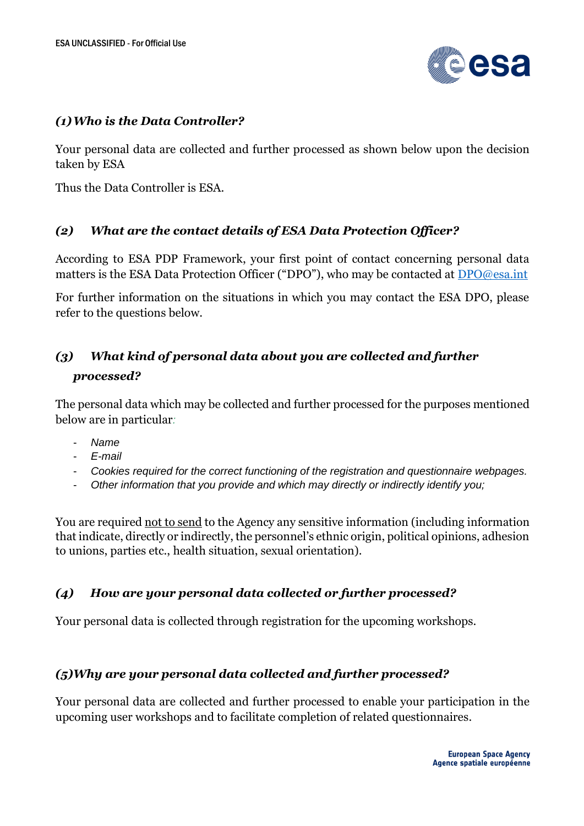

### *(1)Who is the Data Controller?*

Your personal data are collected and further processed as shown below upon the decision taken by ESA

Thus the Data Controller is ESA.

### *(2) What are the contact details of ESA Data Protection Officer?*

According to ESA PDP Framework, your first point of contact concerning personal data matters is the ESA Data Protection Officer ("DPO"), who may be contacted at [DPO@esa.int](mailto:DPO@esa.int)

For further information on the situations in which you may contact the ESA DPO, please refer to the questions below.

# *(3) What kind of personal data about you are collected and further processed?*

The personal data which may be collected and further processed for the purposes mentioned below are in particular*:*

- *Name*
- *E-mail*
- *Cookies required for the correct functioning of the registration and questionnaire webpages.*
- *Other information that you provide and which may directly or indirectly identify you;*

You are required not to send to the Agency any sensitive information (including information that indicate, directly or indirectly, the personnel's ethnic origin, political opinions, adhesion to unions, parties etc., health situation, sexual orientation).

## *(4) How are your personal data collected or further processed?*

Your personal data is collected through registration for the upcoming workshops.

## *(5)Why are your personal data collected and further processed?*

Your personal data are collected and further processed to enable your participation in the upcoming user workshops and to facilitate completion of related questionnaires.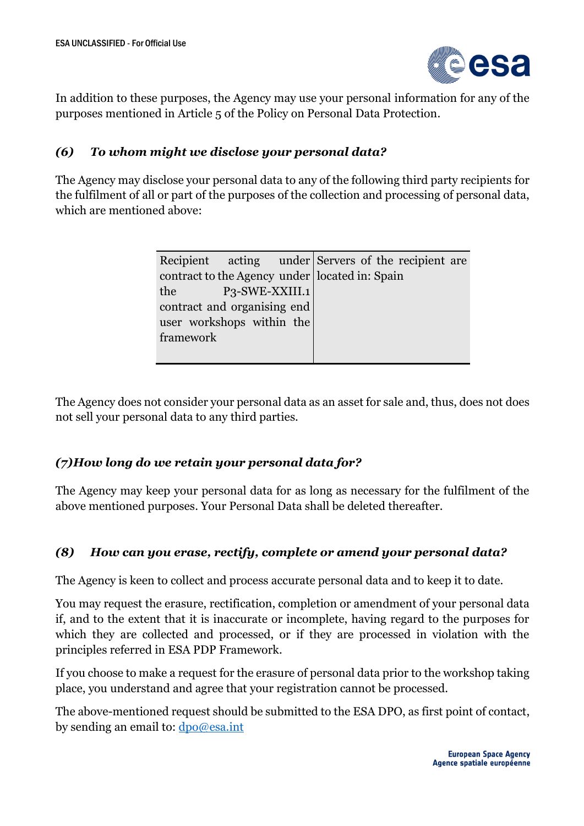

In addition to these purposes, the Agency may use your personal information for any of the purposes mentioned in Article 5 of the Policy on Personal Data Protection.

### *(6) To whom might we disclose your personal data?*

The Agency may disclose your personal data to any of the following third party recipients for the fulfilment of all or part of the purposes of the collection and processing of personal data, which are mentioned above:

|                             |  |  | Recipient acting under Servers of the recipient are |  |
|-----------------------------|--|--|-----------------------------------------------------|--|
|                             |  |  | contract to the Agency under located in: Spain      |  |
| the P3-SWE-XXIII.1          |  |  |                                                     |  |
| contract and organising end |  |  |                                                     |  |
| user workshops within the   |  |  |                                                     |  |
| framework                   |  |  |                                                     |  |
|                             |  |  |                                                     |  |
|                             |  |  |                                                     |  |

The Agency does not consider your personal data as an asset for sale and, thus, does not does not sell your personal data to any third parties.

### *(7)How long do we retain your personal data for?*

The Agency may keep your personal data for as long as necessary for the fulfilment of the above mentioned purposes. Your Personal Data shall be deleted thereafter.

### *(8) How can you erase, rectify, complete or amend your personal data?*

The Agency is keen to collect and process accurate personal data and to keep it to date.

You may request the erasure, rectification, completion or amendment of your personal data if, and to the extent that it is inaccurate or incomplete, having regard to the purposes for which they are collected and processed, or if they are processed in violation with the principles referred in ESA PDP Framework.

If you choose to make a request for the erasure of personal data prior to the workshop taking place, you understand and agree that your registration cannot be processed.

The above-mentioned request should be submitted to the ESA DPO, as first point of contact, by sending an email to: [dpo@esa.int](mailto:dpo@esa.int)